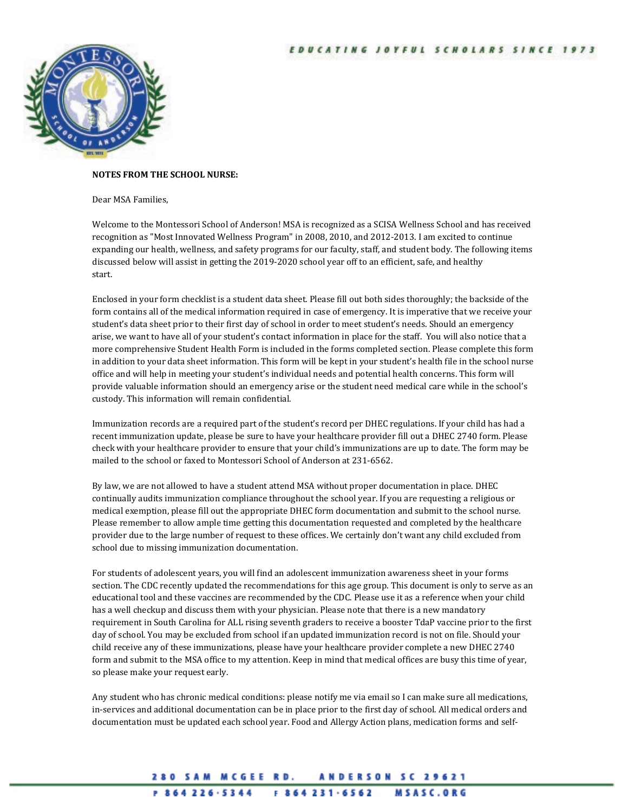

## **NOTES FROM THE SCHOOL NURSE:**

## Dear MSA Families,

Welcome to the Montessori School of Anderson! MSA is recognized as a SCISA Wellness School and has received recognition as "Most Innovated Wellness Program" in 2008, 2010, and 2012-2013. I am excited to continue expanding our health, wellness, and safety programs for our faculty, staff, and student body. The following items discussed below will assist in getting the 2019-2020 school year off to an efficient, safe, and healthy start.

Enclosed in your form checklist is a student data sheet. Please fill out both sides thoroughly; the backside of the form contains all of the medical information required in case of emergency. It is imperative that we receive your student's data sheet prior to their first day of school in order to meet student's needs. Should an emergency arise, we want to have all of your student's contact information in place for the staff. You will also notice that a more comprehensive Student Health Form is included in the forms completed section. Please complete this form in addition to your data sheet information. This form will be kept in your student's health file in the school nurse office and will help in meeting your student's individual needs and potential health concerns. This form will provide valuable information should an emergency arise or the student need medical care while in the school's custody. This information will remain confidential.

Immunization records are a required part of the student's record per DHEC regulations. If your child has had a recent immunization update, please be sure to have your healthcare provider fill out a DHEC 2740 form. Please check with your healthcare provider to ensure that your child's immunizations are up to date. The form may be mailed to the school or faxed to Montessori School of Anderson at 231-6562.

By law, we are not allowed to have a student attend MSA without proper documentation in place. DHEC continually audits immunization compliance throughout the school year. If you are requesting a religious or medical exemption, please fill out the appropriate DHEC form documentation and submit to the school nurse. Please remember to allow ample time getting this documentation requested and completed by the healthcare provider due to the large number of request to these offices. We certainly don't want any child excluded from school due to missing immunization documentation.

For students of adolescent years, you will find an adolescent immunization awareness sheet in your forms section. The CDC recently updated the recommendations for this age group. This document is only to serve as an educational tool and these vaccines are recommended by the CDC. Please use it as a reference when your child has a well checkup and discuss them with your physician. Please note that there is a new mandatory requirement in South Carolina for ALL rising seventh graders to receive a booster TdaP vaccine prior to the first day of school. You may be excluded from school if an updated immunization record is not on file. Should your child receive any of these immunizations, please have your healthcare provider complete a new DHEC 2740 form and submit to the MSA office to my attention. Keep in mind that medical offices are busy this time of year, so please make your request early.

Any student who has chronic medical conditions: please notify me via email so I can make sure all medications, in-services and additional documentation can be in place prior to the first day of school. All medical orders and documentation must be updated each school year. Food and Allergy Action plans, medication forms and self-

## 280 SAM MCGEE RD. **ANDERSON SC 29621**

## $P 864226.5344$  $F 864231.6562$ **MSASC.ORG**